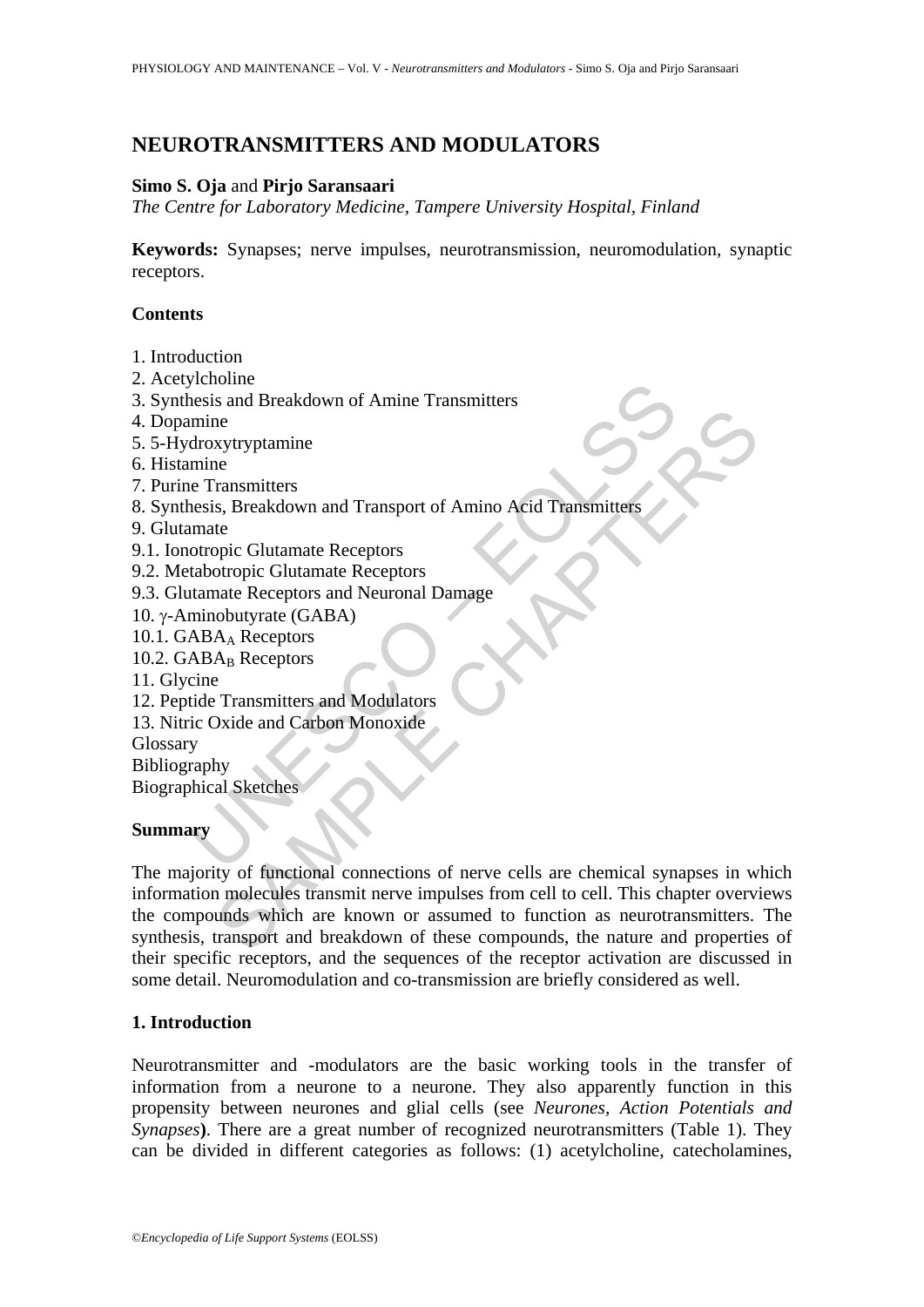# **NEUROTRANSMITTERS AND MODULATORS**

### **Simo S. Oja** and **Pirjo Saransaari**

*The Centre for Laboratory Medicine, Tampere University Hospital, Finland* 

**Keywords:** Synapses; nerve impulses, neurotransmission, neuromodulation, synaptic receptors.

## **Contents**

- 1. Introduction
- 2. Acetylcholine
- 3. Synthesis and Breakdown of Amine Transmitters
- 4. Dopamine
- 5. 5-Hydroxytryptamine
- 6. Histamine
- 7. Purine Transmitters
- Moninie<br>
Mensis and Breakdown of Amine Transmitters<br>
mine<br>
droxytryptamine<br>
mine<br>
e Transmitters<br>
imate<br>
e Transmitters<br>
imate<br>
otropic Glutamate Receptors<br>
tabotropic Glutamate Receptors<br>
tabotropic Glutamate Receptors<br>
d 8. Synthesis, Breakdown and Transport of Amino Acid Transmitters
- 9. Glutamate
- 9.1. Ionotropic Glutamate Receptors
- 9.2. Metabotropic Glutamate Receptors
- 9.3. Glutamate Receptors and Neuronal Damage
- 10. γ-Aminobutyrate (GABA)
- 10.1. GABAA Receptors
- 10.2. GABA<sub>B</sub> Receptors
- 11. Glycine
- 12. Peptide Transmitters and Modulators
- 13. Nitric Oxide and Carbon Monoxide

**Glossary** 

Bibliography

Biographical Sketches

#### **Summary**

Example the according to the compounds, the nature and the component of the component of the component of the component of the component exceptors<br>of the component exceptors<br>and Receptors and Neuronal Damage colutyrate (GA The majority of functional connections of nerve cells are chemical synapses in which information molecules transmit nerve impulses from cell to cell. This chapter overviews the compounds which are known or assumed to function as neurotransmitters. The synthesis, transport and breakdown of these compounds, the nature and properties of their specific receptors, and the sequences of the receptor activation are discussed in some detail. Neuromodulation and co-transmission are briefly considered as well.

# **1. Introduction**

Neurotransmitter and -modulators are the basic working tools in the transfer of information from a neurone to a neurone. They also apparently function in this propensity between neurones and glial cells (see *Neurones, Action Potentials and Synapses***)**. There are a great number of recognized neurotransmitters (Table 1). They can be divided in different categories as follows: (1) acetylcholine, catecholamines,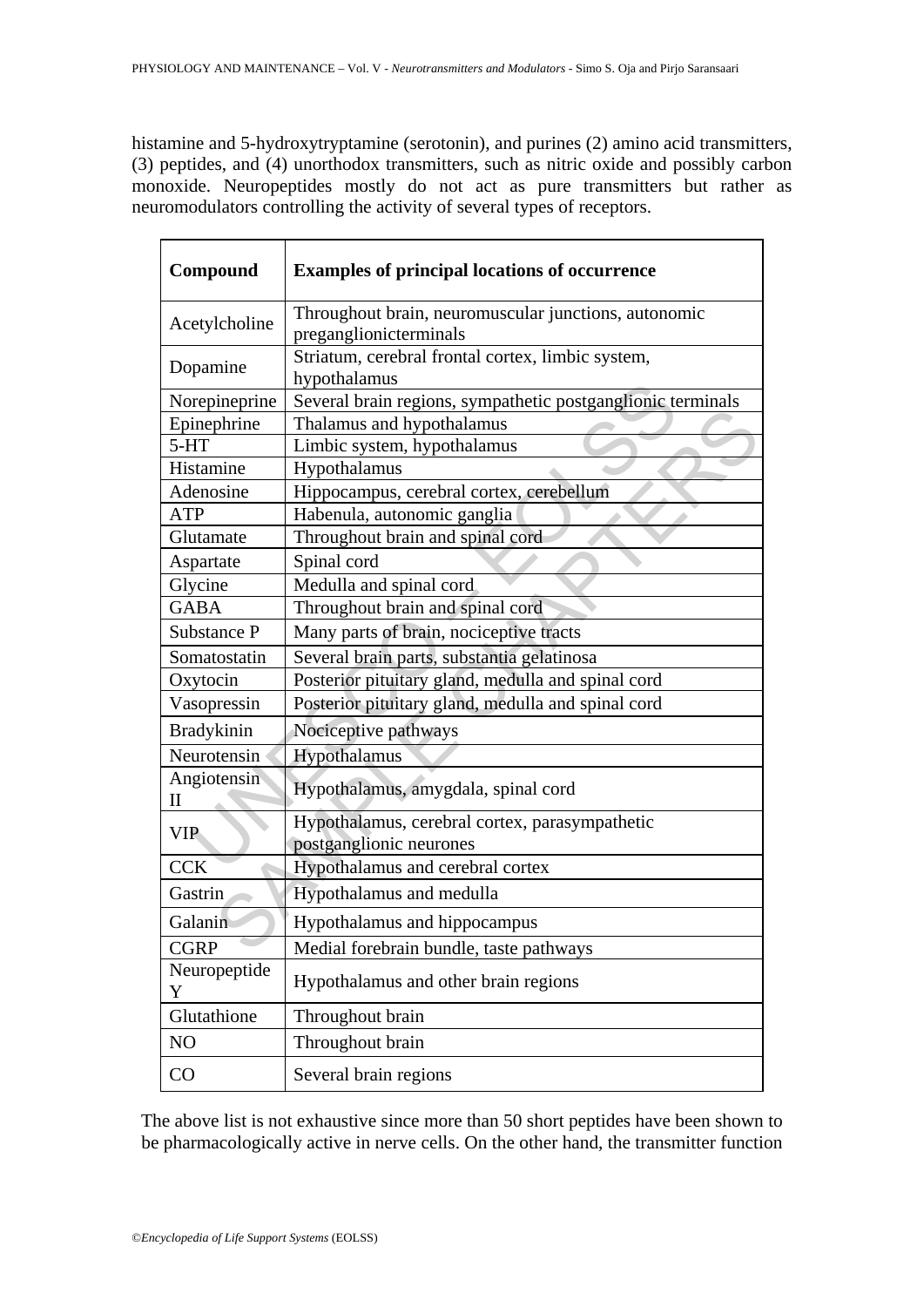histamine and 5-hydroxytryptamine (serotonin), and purines (2) amino acid transmitters, (3) peptides, and (4) unorthodox transmitters, such as nitric oxide and possibly carbon monoxide. Neuropeptides mostly do not act as pure transmitters but rather as neuromodulators controlling the activity of several types of receptors.

| Compound                    | <b>Examples of principal locations of occurrence</b>                           |
|-----------------------------|--------------------------------------------------------------------------------|
| Acetylcholine               | Throughout brain, neuromuscular junctions, autonomic<br>preganglionicterminals |
| Dopamine                    | Striatum, cerebral frontal cortex, limbic system,<br>hypothalamus              |
| Norepineprine               | Several brain regions, sympathetic postganglionic terminals                    |
| Epinephrine                 | Thalamus and hypothalamus                                                      |
| $5-HT$                      | Limbic system, hypothalamus                                                    |
| Histamine                   | Hypothalamus                                                                   |
| Adenosine                   | Hippocampus, cerebral cortex, cerebellum                                       |
| <b>ATP</b>                  | Habenula, autonomic ganglia                                                    |
| Glutamate                   | Throughout brain and spinal cord                                               |
| Aspartate                   | Spinal cord                                                                    |
| Glycine                     | Medulla and spinal cord                                                        |
| <b>GABA</b>                 | Throughout brain and spinal cord                                               |
| Substance P                 | Many parts of brain, nociceptive tracts                                        |
| Somatostatin                | Several brain parts, substantia gelatinosa                                     |
| Oxytocin                    | Posterior pituitary gland, medulla and spinal cord                             |
| Vasopressin                 | Posterior pituitary gland, medulla and spinal cord                             |
| <b>Bradykinin</b>           | Nociceptive pathways                                                           |
| Neurotensin                 | Hypothalamus                                                                   |
| Angiotensin<br>$\mathbf{I}$ | Hypothalamus, amygdala, spinal cord                                            |
| <b>VIP</b>                  | Hypothalamus, cerebral cortex, parasympathetic<br>postganglionic neurones      |
| <b>CCK</b>                  | Hypothalamus and cerebral cortex                                               |
| Gastrin                     | Hypothalamus and medulla                                                       |
| Galanin                     | Hypothalamus and hippocampus                                                   |
| <b>CGRP</b>                 | Medial forebrain bundle, taste pathways                                        |
| Neuropeptide<br>Y           | Hypothalamus and other brain regions                                           |
| Glutathione                 | Throughout brain                                                               |
| NO                          | Throughout brain                                                               |
| CO                          | Several brain regions                                                          |

The above list is not exhaustive since more than 50 short peptides have been shown to be pharmacologically active in nerve cells. On the other hand, the transmitter function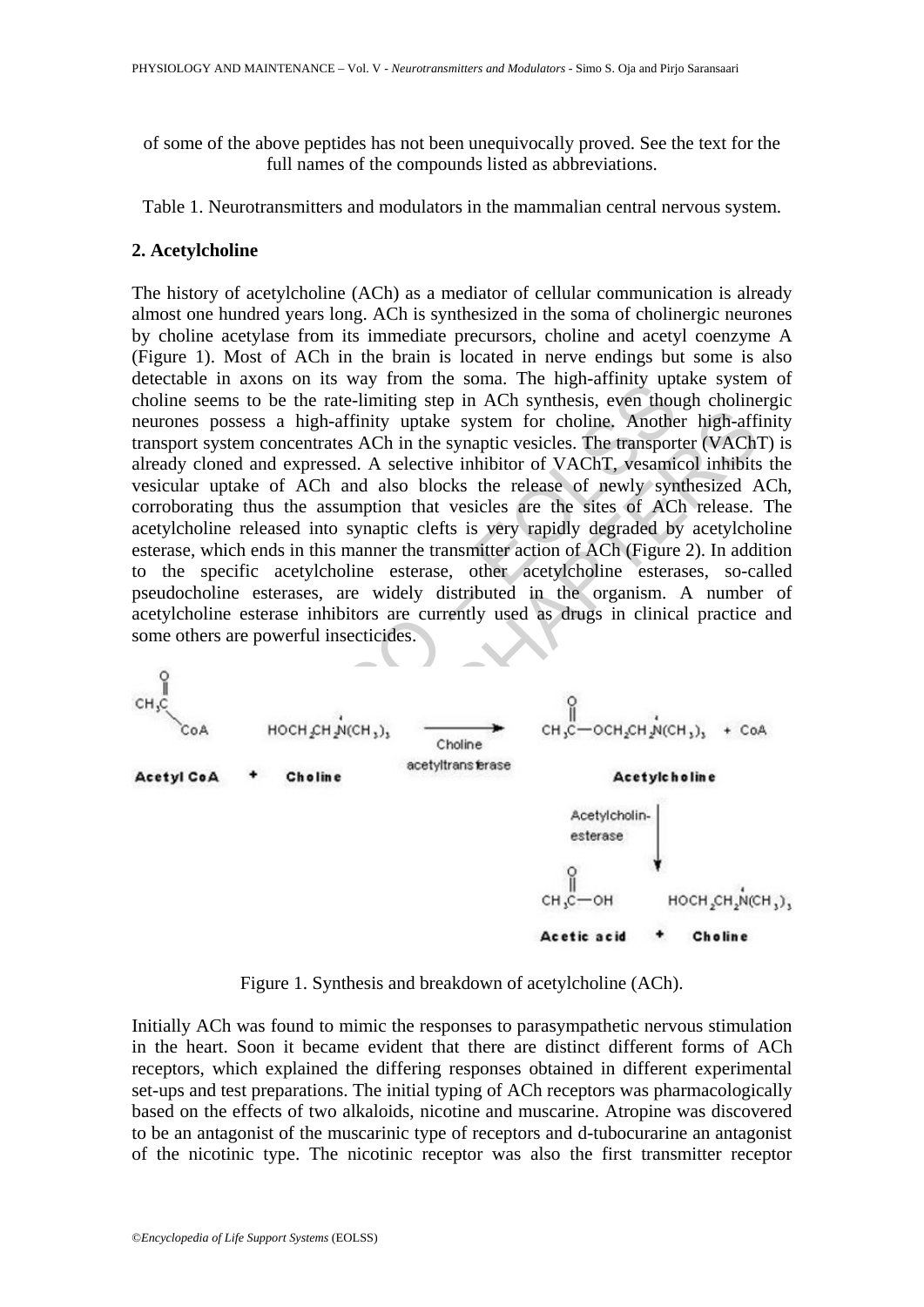of some of the above peptides has not been unequivocally proved. See the text for the full names of the compounds listed as abbreviations.

Table 1. Neurotransmitters and modulators in the mammalian central nervous system.

### **2. Acetylcholine**

be in axions on its way not the solid at the injerationity up<br>seems to be the rate-limiting step in ACh synthesis, even those<br>spossess a high-affinity uptake system for choline. Another<br>system concentrates ACh in the syna The history of acetylcholine (ACh) as a mediator of cellular communication is already almost one hundred years long. ACh is synthesized in the soma of cholinergic neurones by choline acetylase from its immediate precursors, choline and acetyl coenzyme A (Figure 1). Most of ACh in the brain is located in nerve endings but some is also detectable in axons on its way from the soma. The high-affinity uptake system of choline seems to be the rate-limiting step in ACh synthesis, even though cholinergic neurones possess a high-affinity uptake system for choline. Another high-affinity transport system concentrates ACh in the synaptic vesicles. The transporter (VAChT) is already cloned and expressed. A selective inhibitor of VAChT, vesamicol inhibits the vesicular uptake of ACh and also blocks the release of newly synthesized ACh, corroborating thus the assumption that vesicles are the sites of ACh release. The acetylcholine released into synaptic clefts is very rapidly degraded by acetylcholine esterase, which ends in this manner the transmitter action of ACh (Figure 2). In addition to the specific acetylcholine esterase, other acetylcholine esterases, so-called pseudocholine esterases, are widely distributed in the organism. A number of acetylcholine esterase inhibitors are currently used as drugs in clinical practice and some others are powerful insecticides.



Figure 1. Synthesis and breakdown of acetylcholine (ACh).

Initially ACh was found to mimic the responses to parasympathetic nervous stimulation in the heart. Soon it became evident that there are distinct different forms of ACh receptors, which explained the differing responses obtained in different experimental set-ups and test preparations. The initial typing of ACh receptors was pharmacologically based on the effects of two alkaloids, nicotine and muscarine. Atropine was discovered to be an antagonist of the muscarinic type of receptors and d-tubocurarine an antagonist of the nicotinic type. The nicotinic receptor was also the first transmitter receptor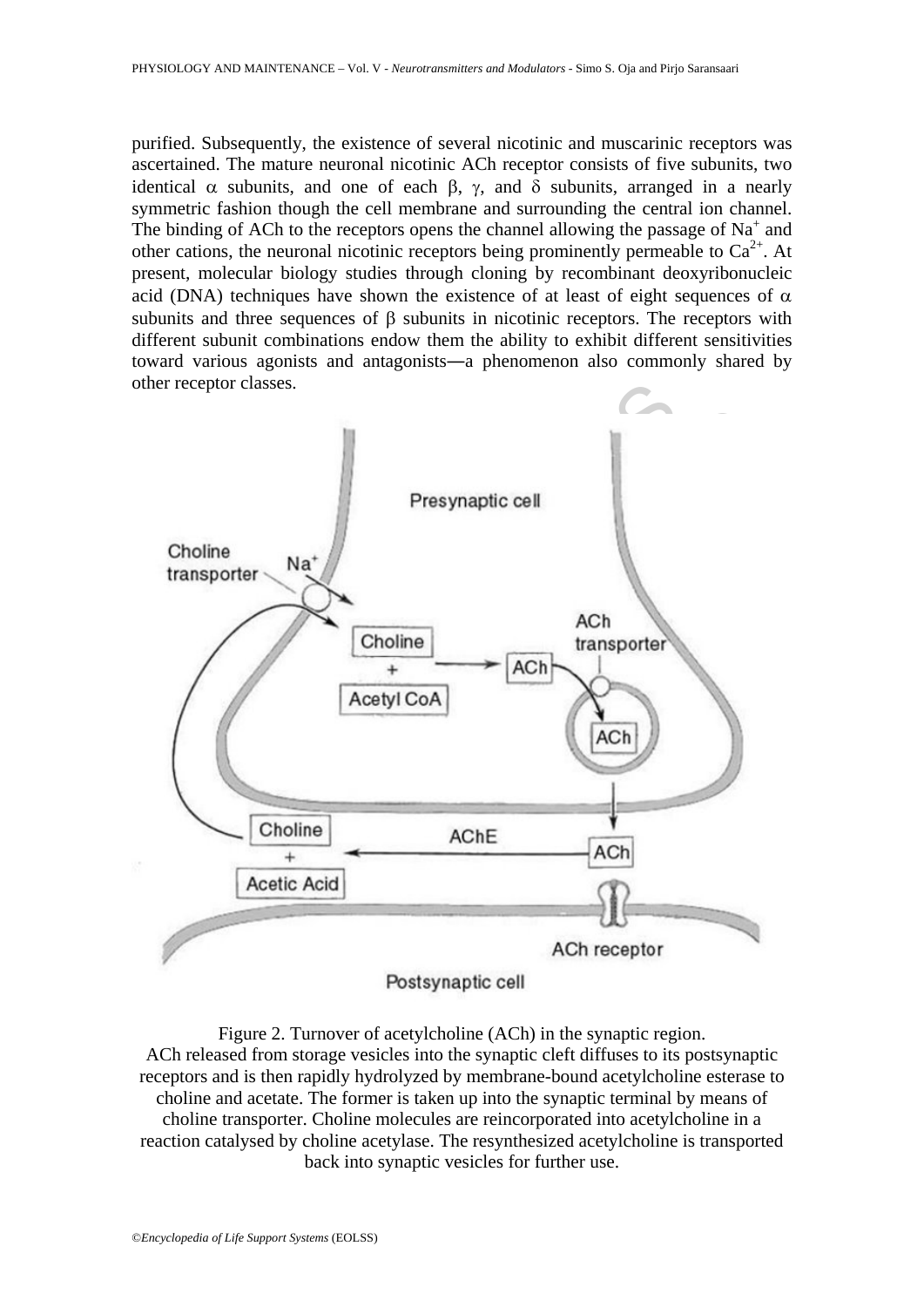purified. Subsequently, the existence of several nicotinic and muscarinic receptors was ascertained. The mature neuronal nicotinic ACh receptor consists of five subunits, two identical  $\alpha$  subunits, and one of each  $\beta$ ,  $\gamma$ , and  $\delta$  subunits, arranged in a nearly symmetric fashion though the cell membrane and surrounding the central ion channel. The binding of ACh to the receptors opens the channel allowing the passage of  $Na<sup>+</sup>$  and other cations, the neuronal nicotinic receptors being prominently permeable to  $Ca^{2+}$ . At present, molecular biology studies through cloning by recombinant deoxyribonucleic acid (DNA) techniques have shown the existence of at least of eight sequences of  $\alpha$ subunits and three sequences of β subunits in nicotinic receptors. The receptors with different subunit combinations endow them the ability to exhibit different sensitivities toward various agonists and antagonists―a phenomenon also commonly shared by other receptor classes.



Figure 2. Turnover of acetylcholine (ACh) in the synaptic region. ACh released from storage vesicles into the synaptic cleft diffuses to its postsynaptic receptors and is then rapidly hydrolyzed by membrane-bound acetylcholine esterase to choline and acetate. The former is taken up into the synaptic terminal by means of choline transporter. Choline molecules are reincorporated into acetylcholine in a reaction catalysed by choline acetylase. The resynthesized acetylcholine is transported back into synaptic vesicles for further use.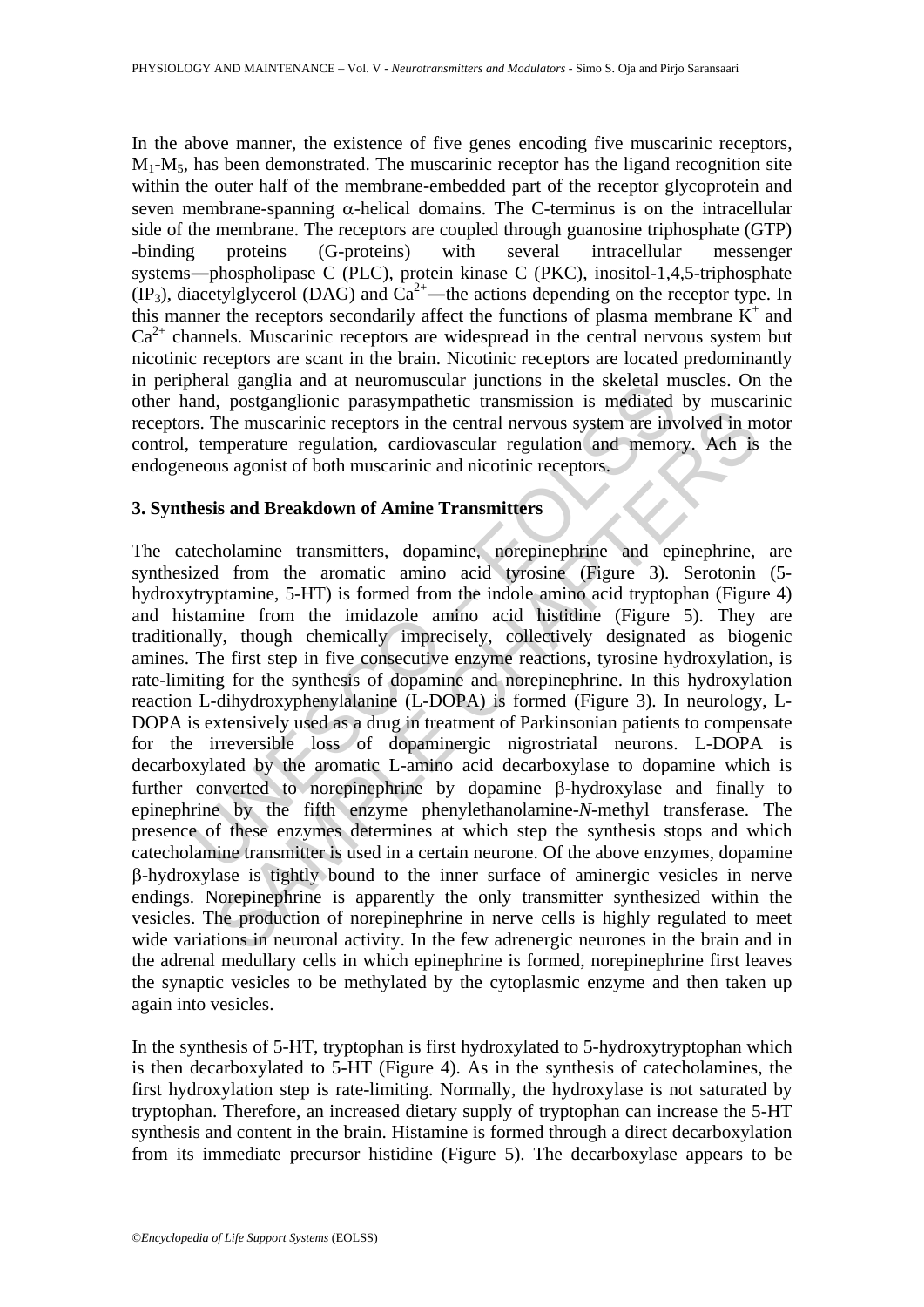In the above manner, the existence of five genes encoding five muscarinic receptors, M1-M5, has been demonstrated. The muscarinic receptor has the ligand recognition site within the outer half of the membrane-embedded part of the receptor glycoprotein and seven membrane-spanning  $\alpha$ -helical domains. The C-terminus is on the intracellular side of the membrane. The receptors are coupled through guanosine triphosphate (GTP) -binding proteins (G-proteins) with several intracellular messenger systems―phospholipase C (PLC), protein kinase C (PKC), inositol-1,4,5-triphosphate  $(IP_3)$ , diacetylglycerol (DAG) and  $Ca^{2+}$ —the actions depending on the receptor type. In this manner the receptors secondarily affect the functions of plasma membrane  $K^+$  and  $Ca<sup>2+</sup>$  channels. Muscarinic receptors are widespread in the central nervous system but nicotinic receptors are scant in the brain. Nicotinic receptors are located predominantly in peripheral ganglia and at neuromuscular junctions in the skeletal muscles. On the other hand, postganglionic parasympathetic transmission is mediated by muscarinic receptors. The muscarinic receptors in the central nervous system are involved in motor control, temperature regulation, cardiovascular regulation and memory. Ach is the endogeneous agonist of both muscarinic and nicotinic receptors.

### **3. Synthesis and Breakdown of Amine Transmitters**

merial gangina and an neuromiscentar junctions in the skeetear in<br>and, postganglionic parasymphetic transmission is mediated<br>rs. The muscarinic receptors in the central nervous system are inv<br>temperature regulation, cardio positive remains the multimorrise communitients of material envolved in methanical continuation in the central nervolos system are involved in metalure regulation, cardiovascular regulation and memory. Ach is us agonist o The catecholamine transmitters, dopamine, norepinephrine and epinephrine, are synthesized from the aromatic amino acid tyrosine (Figure 3). Serotonin (5hydroxytryptamine, 5-HT) is formed from the indole amino acid tryptophan (Figure 4) and histamine from the imidazole amino acid histidine (Figure 5). They are traditionally, though chemically imprecisely, collectively designated as biogenic amines. The first step in five consecutive enzyme reactions, tyrosine hydroxylation, is rate-limiting for the synthesis of dopamine and norepinephrine. In this hydroxylation reaction L-dihydroxyphenylalanine (L-DOPA) is formed (Figure 3). In neurology, L-DOPA is extensively used as a drug in treatment of Parkinsonian patients to compensate for the irreversible loss of dopaminergic nigrostriatal neurons. L-DOPA is decarboxylated by the aromatic L-amino acid decarboxylase to dopamine which is further converted to norepinephrine by dopamine β-hydroxylase and finally to epinephrine by the fifth enzyme phenylethanolamine-*N*-methyl transferase. The presence of these enzymes determines at which step the synthesis stops and which catecholamine transmitter is used in a certain neurone. Of the above enzymes, dopamine β-hydroxylase is tightly bound to the inner surface of aminergic vesicles in nerve endings. Norepinephrine is apparently the only transmitter synthesized within the vesicles. The production of norepinephrine in nerve cells is highly regulated to meet wide variations in neuronal activity. In the few adrenergic neurones in the brain and in the adrenal medullary cells in which epinephrine is formed, norepinephrine first leaves the synaptic vesicles to be methylated by the cytoplasmic enzyme and then taken up again into vesicles.

In the synthesis of 5-HT, tryptophan is first hydroxylated to 5-hydroxytryptophan which is then decarboxylated to 5-HT (Figure 4). As in the synthesis of catecholamines, the first hydroxylation step is rate-limiting. Normally, the hydroxylase is not saturated by tryptophan. Therefore, an increased dietary supply of tryptophan can increase the 5-HT synthesis and content in the brain. Histamine is formed through a direct decarboxylation from its immediate precursor histidine (Figure 5). The decarboxylase appears to be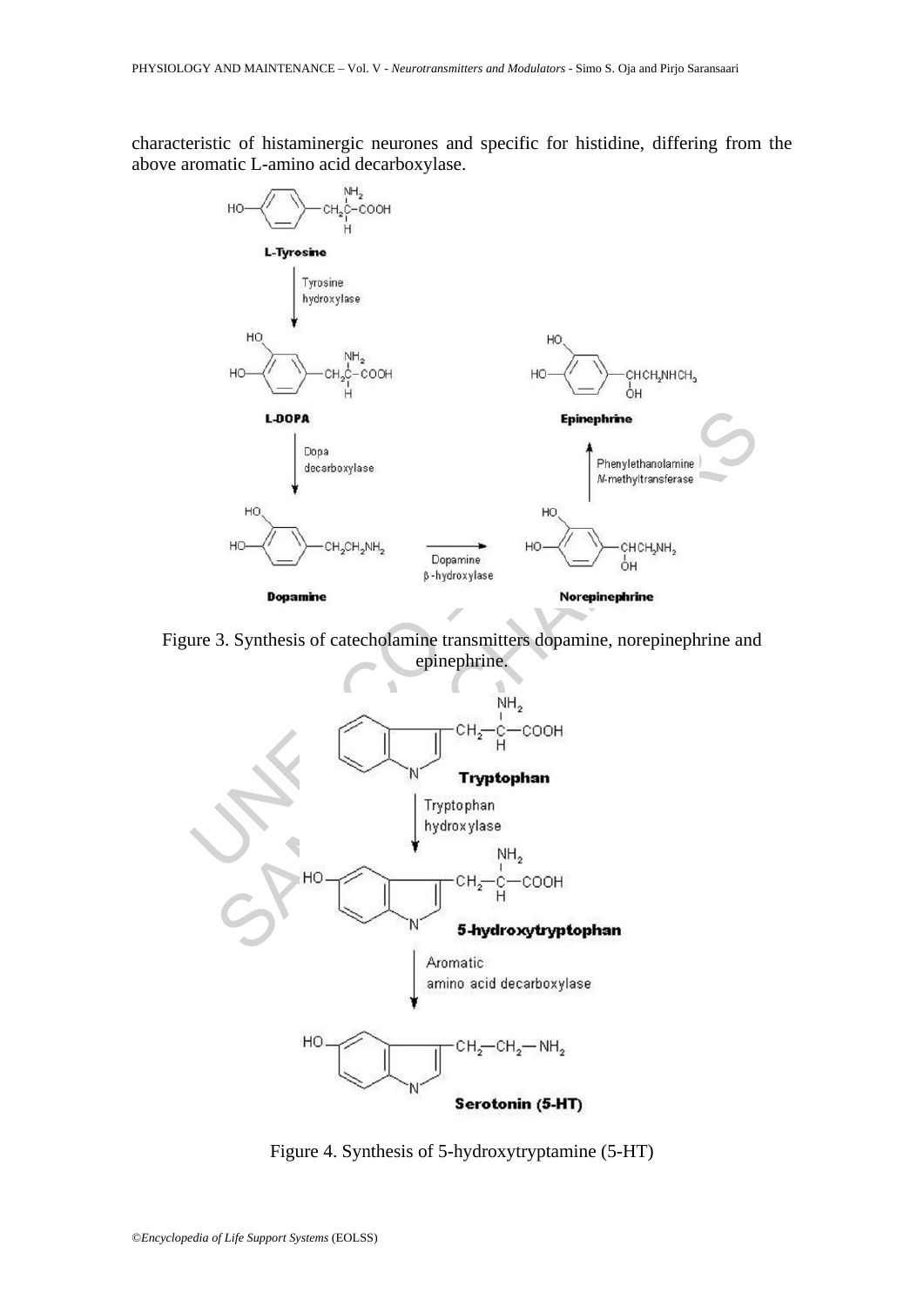characteristic of histaminergic neurones and specific for histidine, differing from the above aromatic L-amino acid decarboxylase.



Figure 3. Synthesis of catecholamine transmitters dopamine, norepinephrine and epinephrine.



Figure 4. Synthesis of 5-hydroxytryptamine (5-HT)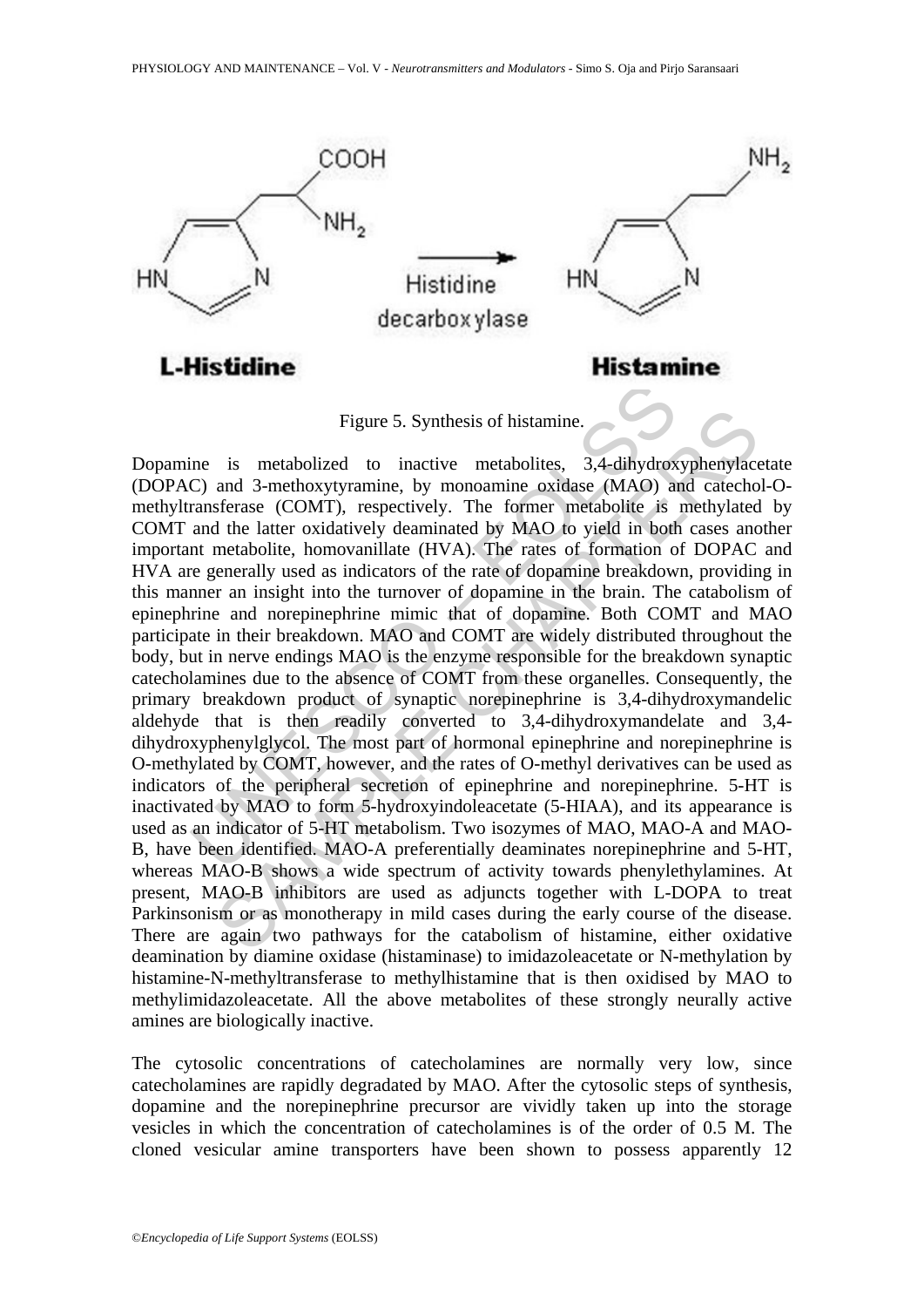

Figure 5. Synthesis of histamine.<br>
Trigure 5. Synthesis of histamine.<br>
C) and 3-methoxytyramine, by monoamine oxidase (MAO) and<br>
and abendency (COMT), respectively. The former metabolite is<br>
and the latter oxidatively deam Figure 5. Synthesis of histamine.<br>
is metabolized to inactive metabolites, 3,4-dihydroxyphenylace<br>
and 3-methoxytyramine, by monoamine oxidase (MAO) and catecho<br>
sferase (COMT), respectively. The former metabolite is methy Dopamine is metabolized to inactive metabolites, 3,4-dihydroxyphenylacetate (DOPAC) and 3-methoxytyramine, by monoamine oxidase (MAO) and catechol-Omethyltransferase (COMT), respectively. The former metabolite is methylated by COMT and the latter oxidatively deaminated by MAO to yield in both cases another important metabolite, homovanillate (HVA). The rates of formation of DOPAC and HVA are generally used as indicators of the rate of dopamine breakdown, providing in this manner an insight into the turnover of dopamine in the brain. The catabolism of epinephrine and norepinephrine mimic that of dopamine. Both COMT and MAO participate in their breakdown. MAO and COMT are widely distributed throughout the body, but in nerve endings MAO is the enzyme responsible for the breakdown synaptic catecholamines due to the absence of COMT from these organelles. Consequently, the primary breakdown product of synaptic norepinephrine is 3,4-dihydroxymandelic aldehyde that is then readily converted to 3,4-dihydroxymandelate and 3,4 dihydroxyphenylglycol. The most part of hormonal epinephrine and norepinephrine is O-methylated by COMT, however, and the rates of O-methyl derivatives can be used as indicators of the peripheral secretion of epinephrine and norepinephrine. 5-HT is inactivated by MAO to form 5-hydroxyindoleacetate (5-HIAA), and its appearance is used as an indicator of 5-HT metabolism. Two isozymes of MAO, MAO-A and MAO-B, have been identified. MAO-A preferentially deaminates norepinephrine and 5-HT, whereas MAO-B shows a wide spectrum of activity towards phenylethylamines. At present, MAO-B inhibitors are used as adjuncts together with L-DOPA to treat Parkinsonism or as monotherapy in mild cases during the early course of the disease. There are again two pathways for the catabolism of histamine, either oxidative deamination by diamine oxidase (histaminase) to imidazoleacetate or N-methylation by histamine-N-methyltransferase to methylhistamine that is then oxidised by MAO to methylimidazoleacetate. All the above metabolites of these strongly neurally active amines are biologically inactive.

The cytosolic concentrations of catecholamines are normally very low, since catecholamines are rapidly degradated by MAO. After the cytosolic steps of synthesis, dopamine and the norepinephrine precursor are vividly taken up into the storage vesicles in which the concentration of catecholamines is of the order of 0.5 M. The cloned vesicular amine transporters have been shown to possess apparently 12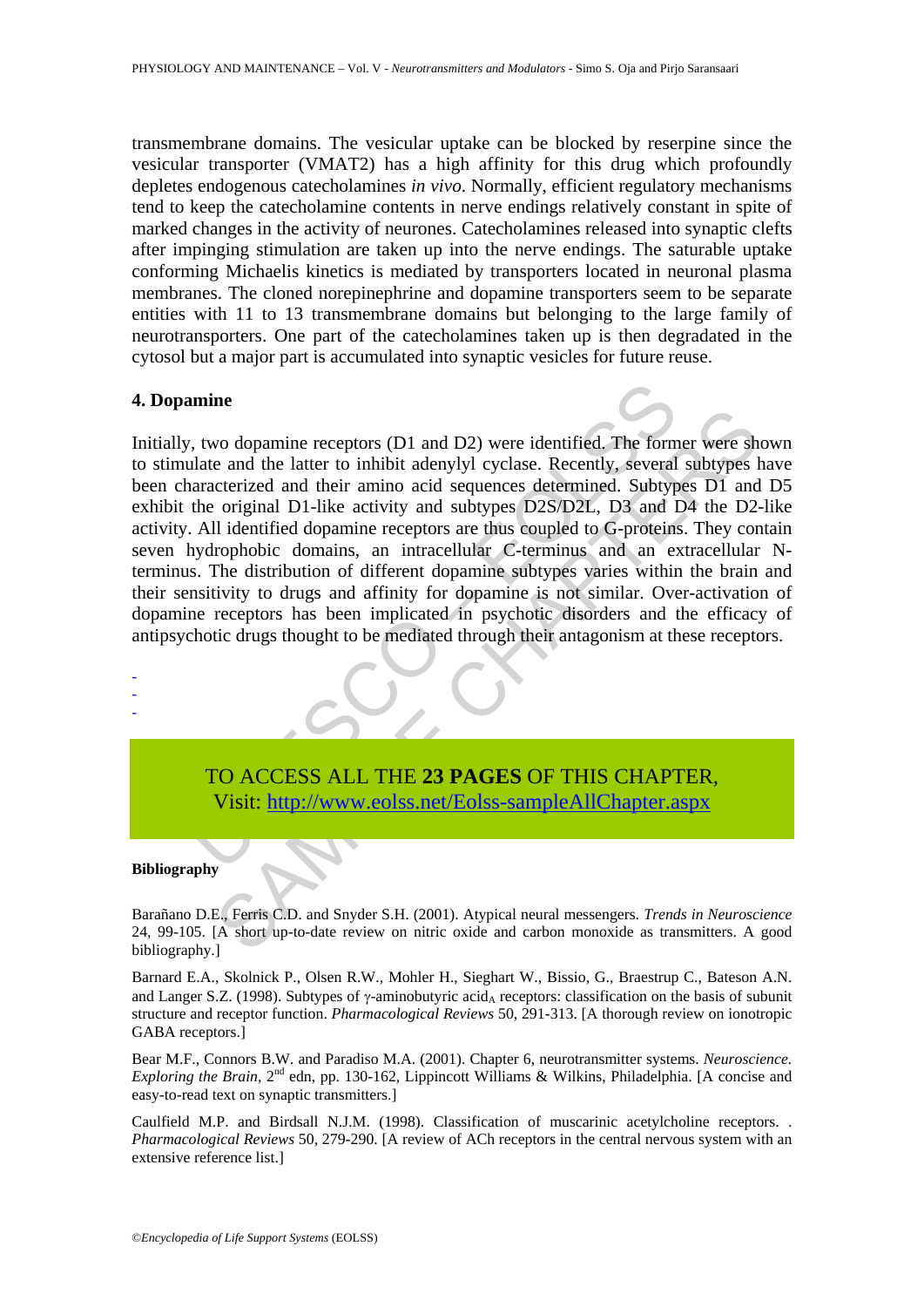transmembrane domains. The vesicular uptake can be blocked by reserpine since the vesicular transporter (VMAT2) has a high affinity for this drug which profoundly depletes endogenous catecholamines *in vivo*. Normally, efficient regulatory mechanisms tend to keep the catecholamine contents in nerve endings relatively constant in spite of marked changes in the activity of neurones. Catecholamines released into synaptic clefts after impinging stimulation are taken up into the nerve endings. The saturable uptake conforming Michaelis kinetics is mediated by transporters located in neuronal plasma membranes. The cloned norepinephrine and dopamine transporters seem to be separate entities with 11 to 13 transmembrane domains but belonging to the large family of neurotransporters. One part of the catecholamines taken up is then degradated in the cytosol but a major part is accumulated into synaptic vesicles for future reuse.

# **4. Dopamine**

mine<br>
(a) two dopamine receptors (D1 and D2) were identified. The form<br>
Ilate and the latter to inhibit adenylyl cyclase. Recently, several<br>
aracterized and their amino acid sequences determined. Subtype<br>
the original D1-l The section of the latter to inhibit adenylyl cyclase. Recently, several subtypes is eard the latter to inhibit adenylyl cyclase. Recently, several subtypes Detectrized and their amino acid sequences determined. Subtypes D Initially, two dopamine receptors (D1 and D2) were identified. The former were shown to stimulate and the latter to inhibit adenylyl cyclase. Recently, several subtypes have been characterized and their amino acid sequences determined. Subtypes D1 and D5 exhibit the original D1-like activity and subtypes D2S/D2L, D3 and D4 the D2-like activity. All identified dopamine receptors are thus coupled to G-proteins. They contain seven hydrophobic domains, an intracellular C-terminus and an extracellular Nterminus. The distribution of different dopamine subtypes varies within the brain and their sensitivity to drugs and affinity for dopamine is not similar. Over-activation of dopamine receptors has been implicated in psychotic disorders and the efficacy of antipsychotic drugs thought to be mediated through their antagonism at these receptors.



#### **Bibliography**

- - -

Barañano D.E., Ferris C.D. and Snyder S.H. (2001). Atypical neural messengers. *Trends in Neuroscience*  24, 99-105. [A short up-to-date review on nitric oxide and carbon monoxide as transmitters. A good bibliography.]

Barnard E.A., Skolnick P., Olsen R.W., Mohler H., Sieghart W., Bissio, G., Braestrup C., Bateson A.N. and Langer S.Z. (1998). Subtypes of  $\gamma$ -aminobutyric acid<sub>A</sub> receptors: classification on the basis of subunit structure and receptor function. *Pharmacological Reviews* 50, 291-313. [A thorough review on ionotropic GABA receptors.]

Bear M.F., Connors B.W. and Paradiso M.A. (2001). Chapter 6, neurotransmitter systems. *Neuroscience. Exploring the Brain*, 2<sup>nd</sup> edn, pp. 130-162, Lippincott Williams & Wilkins, Philadelphia. [A concise and easy-to-read text on synaptic transmitters.]

Caulfield M.P. and Birdsall N.J.M. (1998). Classification of muscarinic acetylcholine receptors. . *Pharmacological Reviews* 50, 279-290. [A review of ACh receptors in the central nervous system with an extensive reference list.]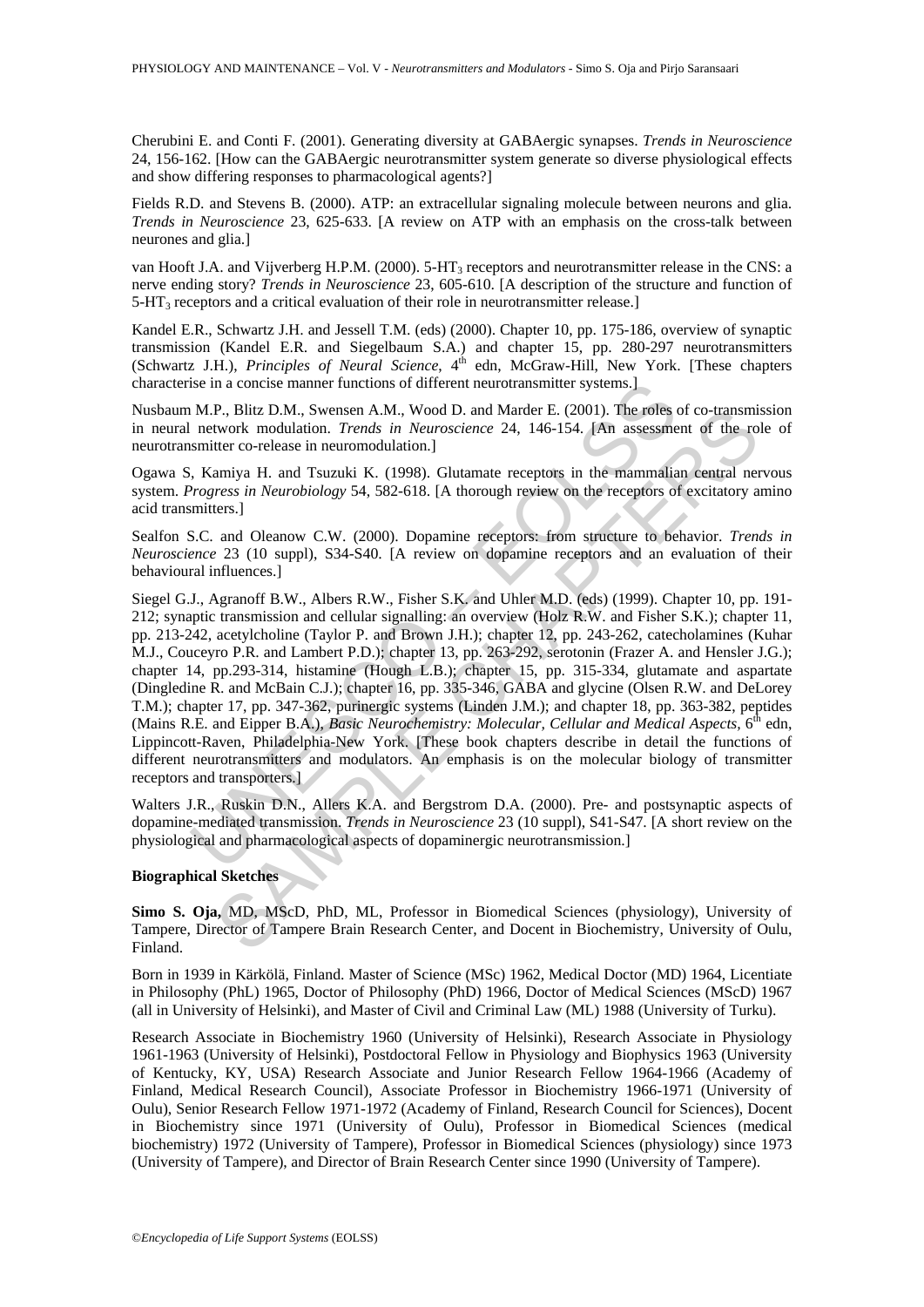Cherubini E. and Conti F. (2001). Generating diversity at GABAergic synapses. *Trends in Neuroscience*  24, 156-162. [How can the GABAergic neurotransmitter system generate so diverse physiological effects and show differing responses to pharmacological agents?]

Fields R.D. and Stevens B. (2000). ATP: an extracellular signaling molecule between neurons and glia. *Trends in Neuroscience* 23, 625-633. [A review on ATP with an emphasis on the cross-talk between neurones and glia.]

van Hooft J.A. and Vijverberg H.P.M. (2000). 5-HT<sub>3</sub> receptors and neurotransmitter release in the CNS: a nerve ending story? *Trends in Neuroscience* 23, 605-610. [A description of the structure and function of 5-HT<sub>3</sub> receptors and a critical evaluation of their role in neurotransmitter release.]

Kandel E.R., Schwartz J.H. and Jessell T.M. (eds) (2000). Chapter 10, pp. 175-186, overview of synaptic transmission (Kandel E.R. and Siegelbaum S.A.) and chapter 15, pp. 280-297 neurotransmitters (Schwartz J.H.), *Principles of Neural Science*, 4<sup>th</sup> edn, McGraw-Hill, New York. [These chapters characterise in a concise manner functions of different neurotransmitter systems.]

Nusbaum M.P., Blitz D.M., Swensen A.M., Wood D. and Marder E. (2001). The roles of co-transmission in neural network modulation. *Trends in Neuroscience* 24, 146-154. [An assessment of the role of neurotransmitter co-release in neuromodulation.]

Ogawa S, Kamiya H. and Tsuzuki K. (1998). Glutamate receptors in the mammalian central nervous system. *Progress in Neurobiology* 54, 582-618. [A thorough review on the receptors of excitatory amino acid transmitters.]

Sealfon S.C. and Oleanow C.W. (2000). Dopamine receptors: from structure to behavior. *Trends in Neuroscience* 23 (10 suppl), S34-S40. [A review on dopamine receptors and an evaluation of their behavioural influences.]

ise in a concise manner functions of different neurotransmitter systems.]<br>
M.P., Blitz D.M., Swensen A.M., Wood D. and Marder E. (2001). The roles neurotroch modulation. Trends in Neuroscience 24, 146-154. [An assessme<br>
si P., Blitz D.M., Swensen A.M., Wood D. and Marder E. (2001). The roles of co-transmit<br>revork modulation. *Trends in Neuroscience* 24, 146-154. [An assessment of the ro<br>ter co-release in neuromodulation.]<br>terms in Neurobiolo Siegel G.J., Agranoff B.W., Albers R.W., Fisher S.K. and Uhler M.D. (eds) (1999). Chapter 10, pp. 191- 212; synaptic transmission and cellular signalling: an overview (Holz R.W. and Fisher S.K.); chapter 11, pp. 213-242, acetylcholine (Taylor P. and Brown J.H.); chapter 12, pp. 243-262, catecholamines (Kuhar M.J., Couceyro P.R. and Lambert P.D.); chapter 13, pp. 263-292, serotonin (Frazer A. and Hensler J.G.); chapter 14, pp.293-314, histamine (Hough L.B.); chapter 15, pp. 315-334, glutamate and aspartate (Dingledine R. and McBain C.J.); chapter 16, pp. 335-346, GABA and glycine (Olsen R.W. and DeLorey T.M.); chapter 17, pp. 347-362, purinergic systems (Linden J.M.); and chapter 18, pp. 363-382, peptides (Mains R.E. and Eipper B.A.), *Basic Neurochemistry: Molecular, Cellular and Medical Aspects*,  $6<sup>th</sup>$  edn, Lippincott-Raven, Philadelphia-New York. [These book chapters describe in detail the functions of different neurotransmitters and modulators. An emphasis is on the molecular biology of transmitter receptors and transporters.]

Walters J.R., Ruskin D.N., Allers K.A. and Bergstrom D.A. (2000). Pre- and postsynaptic aspects of dopamine-mediated transmission. *Trends in Neuroscience* 23 (10 suppl), S41-S47. [A short review on the physiological and pharmacological aspects of dopaminergic neurotransmission.]

#### **Biographical Sketches**

**Simo S. Oja,** MD, MScD, PhD, ML, Professor in Biomedical Sciences (physiology), University of Tampere, Director of Tampere Brain Research Center, and Docent in Biochemistry, University of Oulu, Finland.

Born in 1939 in Kärkölä, Finland. Master of Science (MSc) 1962, Medical Doctor (MD) 1964, Licentiate in Philosophy (PhL) 1965, Doctor of Philosophy (PhD) 1966, Doctor of Medical Sciences (MScD) 1967 (all in University of Helsinki), and Master of Civil and Criminal Law (ML) 1988 (University of Turku).

Research Associate in Biochemistry 1960 (University of Helsinki), Research Associate in Physiology 1961-1963 (University of Helsinki), Postdoctoral Fellow in Physiology and Biophysics 1963 (University of Kentucky, KY, USA) Research Associate and Junior Research Fellow 1964-1966 (Academy of Finland, Medical Research Council), Associate Professor in Biochemistry 1966-1971 (University of Oulu), Senior Research Fellow 1971-1972 (Academy of Finland, Research Council for Sciences), Docent in Biochemistry since 1971 (University of Oulu), Professor in Biomedical Sciences (medical biochemistry) 1972 (University of Tampere), Professor in Biomedical Sciences (physiology) since 1973 (University of Tampere), and Director of Brain Research Center since 1990 (University of Tampere).